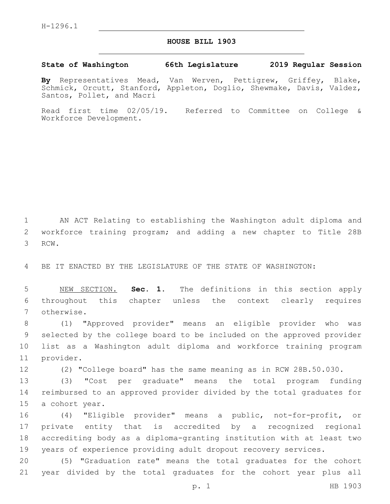## **HOUSE BILL 1903**

## **State of Washington 66th Legislature 2019 Regular Session**

**By** Representatives Mead, Van Werven, Pettigrew, Griffey, Blake, Schmick, Orcutt, Stanford, Appleton, Doglio, Shewmake, Davis, Valdez, Santos, Pollet, and Macri

Read first time 02/05/19. Referred to Committee on College & Workforce Development.

1 AN ACT Relating to establishing the Washington adult diploma and 2 workforce training program; and adding a new chapter to Title 28B 3 RCW.

4 BE IT ENACTED BY THE LEGISLATURE OF THE STATE OF WASHINGTON:

5 NEW SECTION. **Sec. 1.** The definitions in this section apply 6 throughout this chapter unless the context clearly requires 7 otherwise.

 (1) "Approved provider" means an eligible provider who was selected by the college board to be included on the approved provider list as a Washington adult diploma and workforce training program 11 provider.

12 (2) "College board" has the same meaning as in RCW 28B.50.030.

13 (3) "Cost per graduate" means the total program funding 14 reimbursed to an approved provider divided by the total graduates for 15 a cohort year.

 (4) "Eligible provider" means a public, not-for-profit, or private entity that is accredited by a recognized regional accrediting body as a diploma-granting institution with at least two years of experience providing adult dropout recovery services.

20 (5) "Graduation rate" means the total graduates for the cohort 21 year divided by the total graduates for the cohort year plus all

p. 1 HB 1903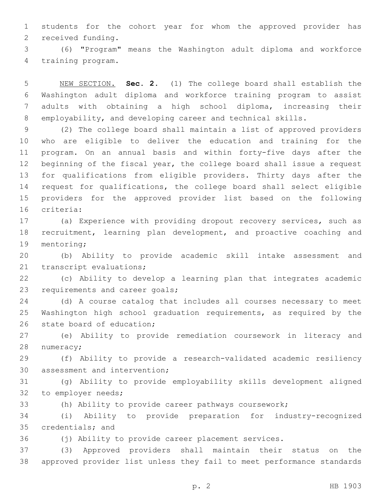students for the cohort year for whom the approved provider has 2 received funding.

 (6) "Program" means the Washington adult diploma and workforce 4 training program.

 NEW SECTION. **Sec. 2.** (1) The college board shall establish the Washington adult diploma and workforce training program to assist adults with obtaining a high school diploma, increasing their employability, and developing career and technical skills.

 (2) The college board shall maintain a list of approved providers who are eligible to deliver the education and training for the program. On an annual basis and within forty-five days after the beginning of the fiscal year, the college board shall issue a request for qualifications from eligible providers. Thirty days after the request for qualifications, the college board shall select eligible providers for the approved provider list based on the following 16 criteria:

 (a) Experience with providing dropout recovery services, such as recruitment, learning plan development, and proactive coaching and 19 mentoring;

 (b) Ability to provide academic skill intake assessment and 21 transcript evaluations;

 (c) Ability to develop a learning plan that integrates academic 23 requirements and career goals;

 (d) A course catalog that includes all courses necessary to meet Washington high school graduation requirements, as required by the 26 state board of education;

 (e) Ability to provide remediation coursework in literacy and 28 numeracy;

 (f) Ability to provide a research-validated academic resiliency 30 assessment and intervention;

 (g) Ability to provide employability skills development aligned 32 to employer needs;

(h) Ability to provide career pathways coursework;

 (i) Ability to provide preparation for industry-recognized 35 credentials; and

(j) Ability to provide career placement services.

 (3) Approved providers shall maintain their status on the approved provider list unless they fail to meet performance standards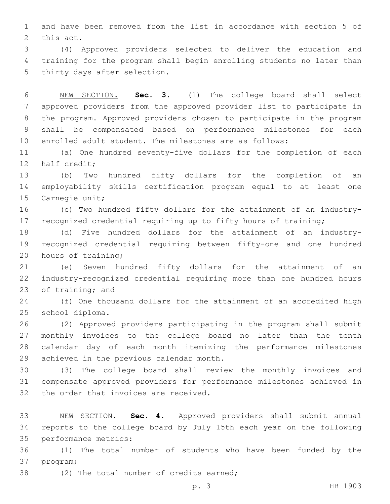and have been removed from the list in accordance with section 5 of 2 this act.

 (4) Approved providers selected to deliver the education and training for the program shall begin enrolling students no later than 5 thirty days after selection.

 NEW SECTION. **Sec. 3.** (1) The college board shall select approved providers from the approved provider list to participate in the program. Approved providers chosen to participate in the program shall be compensated based on performance milestones for each enrolled adult student. The milestones are as follows:

 (a) One hundred seventy-five dollars for the completion of each 12 half credit;

 (b) Two hundred fifty dollars for the completion of an employability skills certification program equal to at least one 15 Carnegie unit;

 (c) Two hundred fifty dollars for the attainment of an industry-recognized credential requiring up to fifty hours of training;

 (d) Five hundred dollars for the attainment of an industry- recognized credential requiring between fifty-one and one hundred 20 hours of training;

 (e) Seven hundred fifty dollars for the attainment of an industry-recognized credential requiring more than one hundred hours 23 of training; and

 (f) One thousand dollars for the attainment of an accredited high 25 school diploma.

 (2) Approved providers participating in the program shall submit monthly invoices to the college board no later than the tenth calendar day of each month itemizing the performance milestones 29 achieved in the previous calendar month.

 (3) The college board shall review the monthly invoices and compensate approved providers for performance milestones achieved in 32 the order that invoices are received.

 NEW SECTION. **Sec. 4.** Approved providers shall submit annual reports to the college board by July 15th each year on the following performance metrics:

 (1) The total number of students who have been funded by the 37 program;

38 (2) The total number of credits earned;